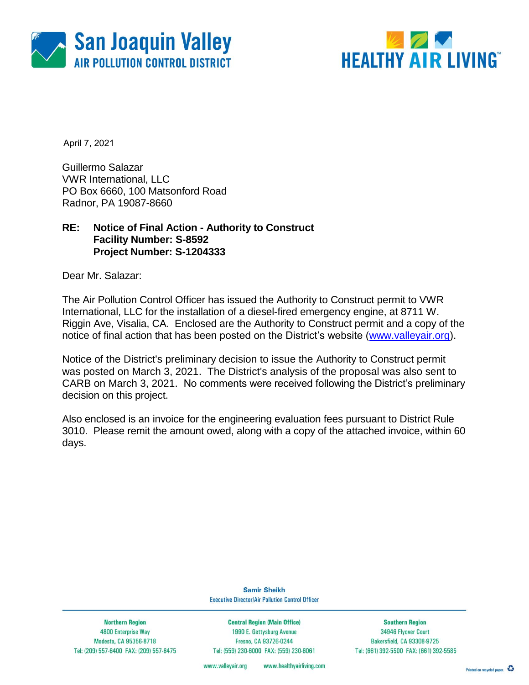



April 7, 2021

Guillermo Salazar VWR International, LLC PO Box 6660, 100 Matsonford Road Radnor, PA 19087-8660

### **RE: Notice of Final Action - Authority to Construct Facility Number: S-8592 Project Number: S-1204333**

Dear Mr. Salazar:

The Air Pollution Control Officer has issued the Authority to Construct permit to VWR International, LLC for the installation of a diesel-fired emergency engine, at 8711 W. Riggin Ave, Visalia, CA. Enclosed are the Authority to Construct permit and a copy of the notice of final action that has been posted on the District's website [\(www.valleyair.org\)](http://www.valleyair.org/).

Notice of the District's preliminary decision to issue the Authority to Construct permit was posted on March 3, 2021. The District's analysis of the proposal was also sent to CARB on March 3, 2021. No comments were received following the District's preliminary decision on this project.

Also enclosed is an invoice for the engineering evaluation fees pursuant to District Rule 3010. Please remit the amount owed, along with a copy of the attached invoice, within 60 days.

> **Samir Sheikh Executive Director/Air Pollution Control Officer**

**Northern Region** 4800 Enterprise Way Modesto, CA 95356-8718 Tel: (209) 557-6400 FAX: (209) 557-6475

**Central Region (Main Office)** 1990 E. Gettysburg Avenue Fresno, CA 93726-0244 Tel: (559) 230-6000 FAX: (559) 230-6061

**Southern Region** 34946 Flyover Court Bakersfield, CA 93308-9725 Tel: (661) 392-5500 FAX: (661) 392-5585

www.healthyairliving.com www.valleyair.org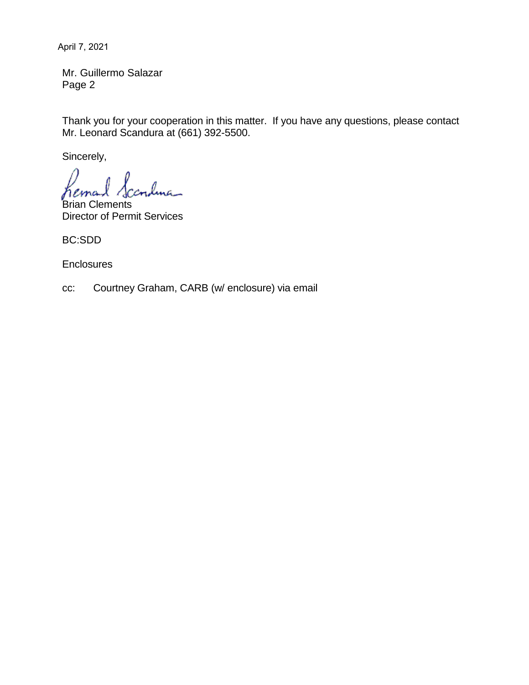April 7, 2021

Mr. Guillermo Salazar Page 2

Thank you for your cooperation in this matter. If you have any questions, please contact Mr. Leonard Scandura at (661) 392-5500.

Sincerely,

lma\_ hemo

Brian Clements Director of Permit Services

BC:SDD

**Enclosures** 

cc: Courtney Graham, CARB (w/ enclosure) via email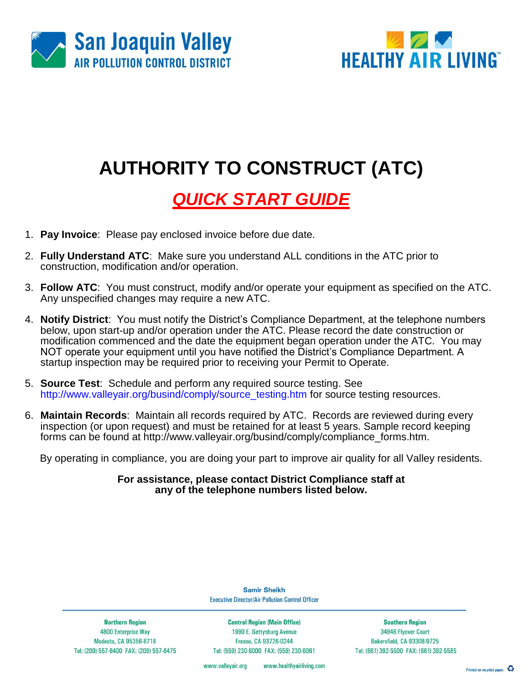



# **AUTHORITY TO CONSTRUCT (ATC)**

## *QUICK START GUIDE*

- 1. **Pay Invoice**: Please pay enclosed invoice before due date.
- 2. **Fully Understand ATC**: Make sure you understand ALL conditions in the ATC prior to construction, modification and/or operation.
- 3. **Follow ATC**: You must construct, modify and/or operate your equipment as specified on the ATC. Any unspecified changes may require a new ATC.
- 4. **Notify District**: You must notify the District's Compliance Department, at the telephone numbers below, upon start-up and/or operation under the ATC. Please record the date construction or modification commenced and the date the equipment began operation under the ATC. You may NOT operate your equipment until you have notified the District's Compliance Department. A startup inspection may be required prior to receiving your Permit to Operate.
- 5. **Source Test**: Schedule and perform any required source testing. See [http://www.valleyair.org/busind/comply/source\\_testing.htm](http://www.valleyair.org/busind/comply/source_testing.htm) for source testing resources.
- 6. **Maintain Records**:Maintain all records required by ATC. Records are reviewed during every inspection (or upon request) and must be retained for at least 5 years. Sample record keeping forms can be found at http://www.valleyair.org/busind/comply/compliance\_forms.htm.

By operating in compliance, you are doing your part to improve air quality for all Valley residents.

**For assistance, please contact District Compliance staff at any of the telephone numbers listed below.**

**Northern Region** 4800 Enterprise Way Modesto, CA 95356-8718 Tel: (209) 557-6400 FAX: (209) 557-6475 **Central Region (Main Office)** 

**Samir Sheikh Executive Director/Air Pollution Control Officer** 

1990 E. Gettysburg Avenue Fresno, CA 93726-0244 Tel: (559) 230-6000 FAX: (559) 230-6061

**Southern Region** 34946 Flyover Court Bakersfield, CA 93308-9725 Tel: (661) 392-5500 FAX: (661) 392-5585

www.healthyairliving.com www.valleyair.org

Printed on recycled paper.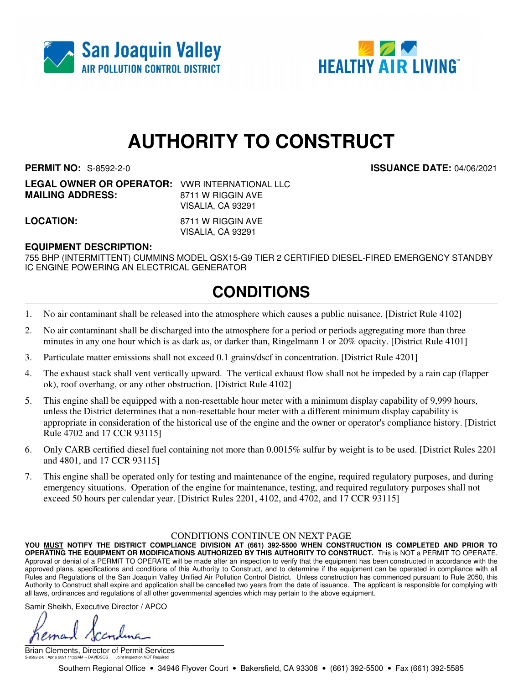



## **AUTHORITY TO CONSTRUCT**

**PERMIT NO:** S-8592-2-0 **ISSUANCE DATE:** 04/06/2021

**LEGAL OWNER OR OPERATOR:** VWR INTERNATIONAL LLC **MAILING ADDRESS:** 8711 W RIGGIN AVE VISALIA, CA 93291

**LOCATION:** 8711 W RIGGIN AVE VISALIA, CA 93291

### **EQUIPMENT DESCRIPTION:**

755 BHP (INTERMITTENT) CUMMINS MODEL QSX15-G9 TIER 2 CERTIFIED DIESEL-FIRED EMERGENCY STANDBY IC ENGINE POWERING AN ELECTRICAL GENERATOR

### **CONDITIONS**

- 1. No air contaminant shall be released into the atmosphere which causes a public nuisance. [District Rule 4102]
- 2. No air contaminant shall be discharged into the atmosphere for a period or periods aggregating more than three minutes in any one hour which is as dark as, or darker than, Ringelmann 1 or 20% opacity. [District Rule 4101]
- 3. Particulate matter emissions shall not exceed 0.1 grains/dscf in concentration. [District Rule 4201]
- 4. The exhaust stack shall vent vertically upward. The vertical exhaust flow shall not be impeded by a rain cap (flapper ok), roof overhang, or any other obstruction. [District Rule 4102]
- 5. This engine shall be equipped with a non-resettable hour meter with a minimum display capability of 9,999 hours, unless the District determines that a non-resettable hour meter with a different minimum display capability is appropriate in consideration of the historical use of the engine and the owner or operator's compliance history. [District Rule 4702 and 17 CCR 93115]
- 6. Only CARB certified diesel fuel containing not more than 0.0015% sulfur by weight is to be used. [District Rules 2201 and 4801, and 17 CCR 93115]
- 7. This engine shall be operated only for testing and maintenance of the engine, required regulatory purposes, and during emergency situations. Operation of the engine for maintenance, testing, and required regulatory purposes shall not exceed 50 hours per calendar year. [District Rules 2201, 4102, and 4702, and 17 CCR 93115]

#### CONDITIONS CONTINUE ON NEXT PAGE

**YOU MUST NOTIFY THE DISTRICT COMPLIANCE DIVISION AT (661) 392-5500 WHEN CONSTRUCTION IS COMPLETED AND PRIOR TO OPERATING THE EQUIPMENT OR MODIFICATIONS AUTHORIZED BY THIS AUTHORITY TO CONSTRUCT.** This is NOT a PERMIT TO OPERATE. Approval or denial of a PERMIT TO OPERATE will be made after an inspection to verify that the equipment has been constructed in accordance with the approved plans, specifications and conditions of this Authority to Construct, and to determine if the equipment can be operated in compliance with all Rules and Regulations of the San Joaquin Valley Unified Air Pollution Control District. Unless construction has commenced pursuant to Rule 2050, this Authority to Construct shall expire and application shall be cancelled two years from the date of issuance. The applicant is responsible for complying with all laws, ordinances and regulations of all other governmental agencies which may pertain to the above equipment.

Samir Sheikh, Executive Director / APCO

 $\int$ 

Brian Clements, Director of Permit Services S-8592-2-0 : Apr 6 2021 11:22AM -- DAVIDSOS : Joint Inspection NOT Required

Southern Regional Office • 34946 Flyover Court • Bakersfield, CA 93308 • (661) 392-5500 • Fax (661) 392-5585